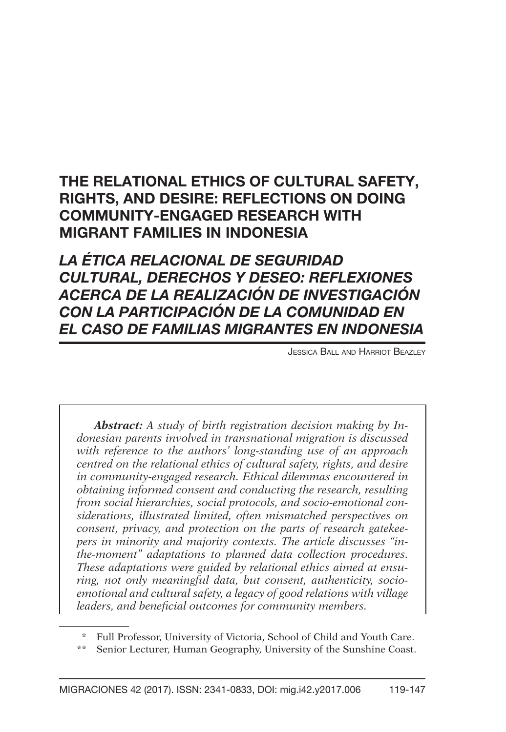# The Relational Ethics of Cultural Safety, Rights, and Desire: Reflections on Doing Community-Engaged Research with Migrant Families in Indonesia

*La ética relacional de seguridad cultural, derechos y deseo: reflexiones acerca de la realización de investigación con la participación de la comunidad en el caso de familias migrantes en Indonesia*

Jessica Ball and Harriot Beazley

*Abstract: A study of birth registration decision making by Indonesian parents involved in transnational migration is discussed with reference to the authors' long-standing use of an approach centred on the relational ethics of cultural safety, rights, and desire in community-engaged research. Ethical dilemmas encountered in obtaining informed consent and conducting the research, resulting from social hierarchies, social protocols, and socio-emotional considerations, illustrated limited, often mismatched perspectives on consent, privacy, and protection on the parts of research gatekeepers in minority and majority contexts. The article discusses "inthe-moment" adaptations to planned data collection procedures. These adaptations were guided by relational ethics aimed at ensuring, not only meaningful data, but consent, authenticity, socioemotional and cultural safety, a legacy of good relations with village leaders, and beneficial outcomes for community members.*

Full Professor, University of Victoria, School of Child and Youth Care.

Senior Lecturer, Human Geography, University of the Sunshine Coast.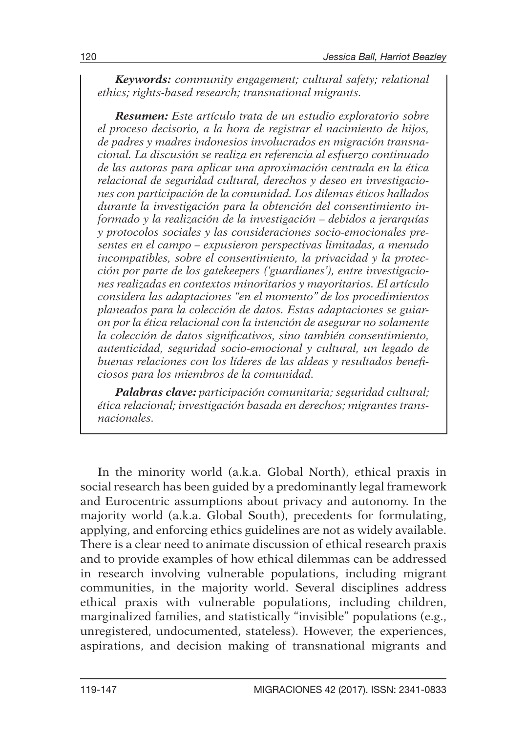*Keywords: community engagement; cultural safety; relational ethics; rights-based research; transnational migrants.* 

*Resumen: Este artículo trata de un estudio exploratorio sobre el proceso decisorio, a la hora de registrar el nacimiento de hijos, de padres y madres indonesios involucrados en migración transnacional. La discusión se realiza en referencia al esfuerzo continuado de las autoras para aplicar una aproximación centrada en la ética relacional de seguridad cultural, derechos y deseo en investigaciones con participación de la comunidad. Los dilemas éticos hallados durante la investigación para la obtención del consentimiento informado y la realización de la investigación – debidos a jerarquías y protocolos sociales y las consideraciones socio-emocionales presentes en el campo – expusieron perspectivas limitadas, a menudo incompatibles, sobre el consentimiento, la privacidad y la protección por parte de los gatekeepers ('guardianes'), entre investigaciones realizadas en contextos minoritarios y mayoritarios. El artículo considera las adaptaciones "en el momento" de los procedimientos planeados para la colección de datos. Estas adaptaciones se guiaron por la ética relacional con la intención de asegurar no solamente la colección de datos significativos, sino también consentimiento, autenticidad, seguridad socio-emocional y cultural, un legado de buenas relaciones con los líderes de las aldeas y resultados beneficiosos para los miembros de la comunidad.*

*Palabras clave: participación comunitaria; seguridad cultural; ética relacional; investigación basada en derechos; migrantes transnacionales.*

In the minority world (a.k.a. Global North), ethical praxis in social research has been guided by a predominantly legal framework and Eurocentric assumptions about privacy and autonomy. In the majority world (a.k.a. Global South), precedents for formulating, applying, and enforcing ethics guidelines are not as widely available. There is a clear need to animate discussion of ethical research praxis and to provide examples of how ethical dilemmas can be addressed in research involving vulnerable populations, including migrant communities, in the majority world. Several disciplines address ethical praxis with vulnerable populations, including children, marginalized families, and statistically "invisible" populations (e.g., unregistered, undocumented, stateless). However, the experiences, aspirations, and decision making of transnational migrants and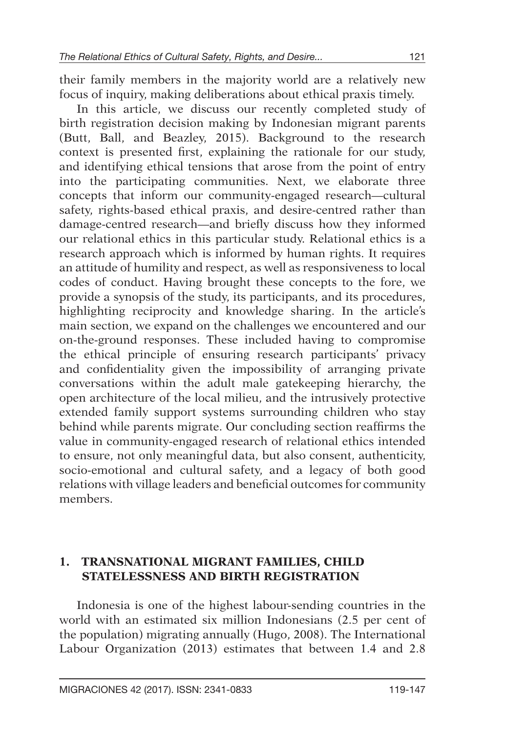their family members in the majority world are a relatively new focus of inquiry, making deliberations about ethical praxis timely.

In this article, we discuss our recently completed study of birth registration decision making by Indonesian migrant parents (Butt, Ball, and Beazley, 2015). Background to the research context is presented first, explaining the rationale for our study, and identifying ethical tensions that arose from the point of entry into the participating communities. Next, we elaborate three concepts that inform our community-engaged research—cultural safety, rights-based ethical praxis, and desire-centred rather than damage-centred research—and briefly discuss how they informed our relational ethics in this particular study. Relational ethics is a research approach which is informed by human rights. It requires an attitude of humility and respect, as well as responsiveness to local codes of conduct. Having brought these concepts to the fore, we provide a synopsis of the study, its participants, and its procedures, highlighting reciprocity and knowledge sharing. In the article's main section, we expand on the challenges we encountered and our on-the-ground responses. These included having to compromise the ethical principle of ensuring research participants' privacy and confidentiality given the impossibility of arranging private conversations within the adult male gatekeeping hierarchy, the open architecture of the local milieu, and the intrusively protective extended family support systems surrounding children who stay behind while parents migrate. Our concluding section reaffirms the value in community-engaged research of relational ethics intended to ensure, not only meaningful data, but also consent, authenticity, socio-emotional and cultural safety, and a legacy of both good relations with village leaders and beneficial outcomes for community members.

### **1. Transnational Migrant Families, Child Statelessness and Birth Registration**

Indonesia is one of the highest labour-sending countries in the world with an estimated six million Indonesians (2.5 per cent of the population) migrating annually (Hugo, 2008). The International Labour Organization (2013) estimates that between 1.4 and 2.8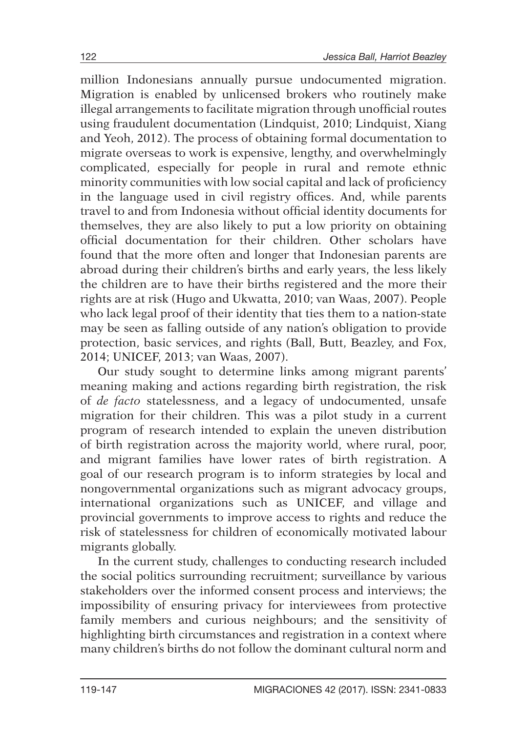million Indonesians annually pursue undocumented migration. Migration is enabled by unlicensed brokers who routinely make illegal arrangements to facilitate migration through unofficial routes using fraudulent documentation (Lindquist, 2010; Lindquist, Xiang and Yeoh, 2012). The process of obtaining formal documentation to migrate overseas to work is expensive, lengthy, and overwhelmingly complicated, especially for people in rural and remote ethnic minority communities with low social capital and lack of proficiency in the language used in civil registry offices. And, while parents travel to and from Indonesia without official identity documents for themselves, they are also likely to put a low priority on obtaining official documentation for their children. Other scholars have found that the more often and longer that Indonesian parents are abroad during their children's births and early years, the less likely the children are to have their births registered and the more their rights are at risk (Hugo and Ukwatta, 2010; van Waas, 2007). People who lack legal proof of their identity that ties them to a nation-state may be seen as falling outside of any nation's obligation to provide protection, basic services, and rights (Ball, Butt, Beazley, and Fox, 2014; UNICEF, 2013; van Waas, 2007).

Our study sought to determine links among migrant parents' meaning making and actions regarding birth registration, the risk of *de facto* statelessness, and a legacy of undocumented, unsafe migration for their children. This was a pilot study in a current program of research intended to explain the uneven distribution of birth registration across the majority world, where rural, poor, and migrant families have lower rates of birth registration. A goal of our research program is to inform strategies by local and nongovernmental organizations such as migrant advocacy groups, international organizations such as UNICEF, and village and provincial governments to improve access to rights and reduce the risk of statelessness for children of economically motivated labour migrants globally.

In the current study, challenges to conducting research included the social politics surrounding recruitment; surveillance by various stakeholders over the informed consent process and interviews; the impossibility of ensuring privacy for interviewees from protective family members and curious neighbours; and the sensitivity of highlighting birth circumstances and registration in a context where many children's births do not follow the dominant cultural norm and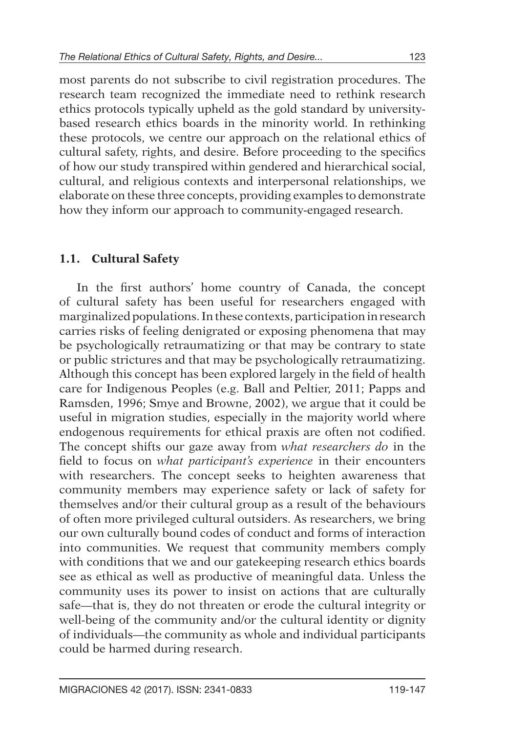most parents do not subscribe to civil registration procedures. The research team recognized the immediate need to rethink research ethics protocols typically upheld as the gold standard by universitybased research ethics boards in the minority world. In rethinking these protocols, we centre our approach on the relational ethics of cultural safety, rights, and desire. Before proceeding to the specifics of how our study transpired within gendered and hierarchical social, cultural, and religious contexts and interpersonal relationships, we elaborate on these three concepts, providing examples to demonstrate how they inform our approach to community-engaged research.

## **1.1. Cultural Safety**

In the first authors' home country of Canada, the concept of cultural safety has been useful for researchers engaged with marginalized populations. In these contexts, participation in research carries risks of feeling denigrated or exposing phenomena that may be psychologically retraumatizing or that may be contrary to state or public strictures and that may be psychologically retraumatizing. Although this concept has been explored largely in the field of health care for Indigenous Peoples (e.g. Ball and Peltier, 2011; Papps and Ramsden, 1996; Smye and Browne, 2002), we argue that it could be useful in migration studies, especially in the majority world where endogenous requirements for ethical praxis are often not codified. The concept shifts our gaze away from *what researchers do* in the field to focus on *what participant's experience* in their encounters with researchers. The concept seeks to heighten awareness that community members may experience safety or lack of safety for themselves and/or their cultural group as a result of the behaviours of often more privileged cultural outsiders. As researchers, we bring our own culturally bound codes of conduct and forms of interaction into communities. We request that community members comply with conditions that we and our gatekeeping research ethics boards see as ethical as well as productive of meaningful data. Unless the community uses its power to insist on actions that are culturally safe—that is, they do not threaten or erode the cultural integrity or well-being of the community and/or the cultural identity or dignity of individuals—the community as whole and individual participants could be harmed during research.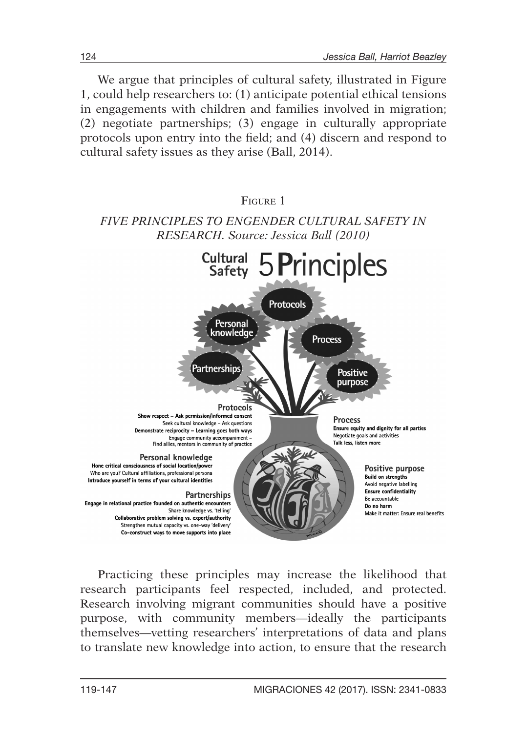We argue that principles of cultural safety, illustrated in Figure 1, could help researchers to: (1) anticipate potential ethical tensions in engagements with children and families involved in migration; (2) negotiate partnerships; (3) engage in culturally appropriate protocols upon entry into the field; and (4) discern and respond to cultural safety issues as they arise (Ball, 2014).

#### Figure 1 *Five principles to engender cultural safety in research. Source: Jessica Ball (2010)* Cultural 5 Principles Protocols Personal knowledge **Process** Partnerships **Positive** purpose Protocols Show respect - Ask permission/informed consent **Process** Seek cultural knowledge - Ask guestions Ensure equity and dignity for all parties Demonstrate reciprocity - Learning goes both ways Negotiate goals and activities Engage community accompaniment -<br>Find allies, mentors in community of practice Talk less, listen more Personal knowledge Hone critical consciousness of social location/power Positive purpose Who are you? Cultural affiliations, professional persona **Build on strengths** Introduce yourself in terms of your cultural identities Avoid negative labelling **Ensure confidentiality** Partnerships Be accountable Engage in relational practice founded on authentic encounters Do no harm Share knowledge vs. 'telling' Make it matter: Ensure real benefits Collaborative problem solving vs. expert/authority Strengthen mutual capacity vs. one-way 'delivery' Co-construct ways to move supports into place

Practicing these principles may increase the likelihood that research participants feel respected, included, and protected. Research involving migrant communities should have a positive purpose, with community members—ideally the participants themselves—vetting researchers' interpretations of data and plans to translate new knowledge into action, to ensure that the research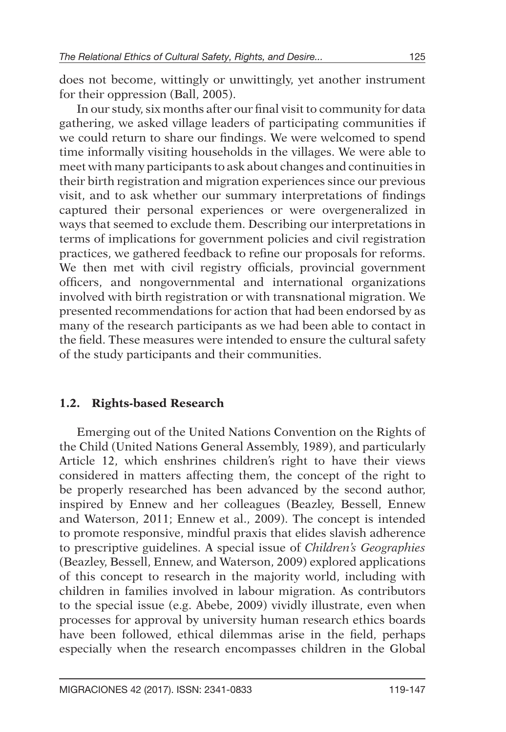does not become, wittingly or unwittingly, yet another instrument for their oppression (Ball, 2005).

In our study, six months after our final visit to community for data gathering, we asked village leaders of participating communities if we could return to share our findings. We were welcomed to spend time informally visiting households in the villages. We were able to meet with many participants to ask about changes and continuities in their birth registration and migration experiences since our previous visit, and to ask whether our summary interpretations of findings captured their personal experiences or were overgeneralized in ways that seemed to exclude them. Describing our interpretations in terms of implications for government policies and civil registration practices, we gathered feedback to refine our proposals for reforms. We then met with civil registry officials, provincial government officers, and nongovernmental and international organizations involved with birth registration or with transnational migration. We presented recommendations for action that had been endorsed by as many of the research participants as we had been able to contact in the field. These measures were intended to ensure the cultural safety of the study participants and their communities.

## **1.2. Rights-based Research**

Emerging out of the United Nations Convention on the Rights of the Child (United Nations General Assembly, 1989), and particularly Article 12, which enshrines children's right to have their views considered in matters affecting them, the concept of the right to be properly researched has been advanced by the second author, inspired by Ennew and her colleagues (Beazley, Bessell, Ennew and Waterson, 2011; Ennew et al., 2009). The concept is intended to promote responsive, mindful praxis that elides slavish adherence to prescriptive guidelines. A special issue of *Children's Geographies* (Beazley, Bessell, Ennew, and Waterson, 2009) explored applications of this concept to research in the majority world, including with children in families involved in labour migration. As contributors to the special issue (e.g. Abebe, 2009) vividly illustrate, even when processes for approval by university human research ethics boards have been followed, ethical dilemmas arise in the field, perhaps especially when the research encompasses children in the Global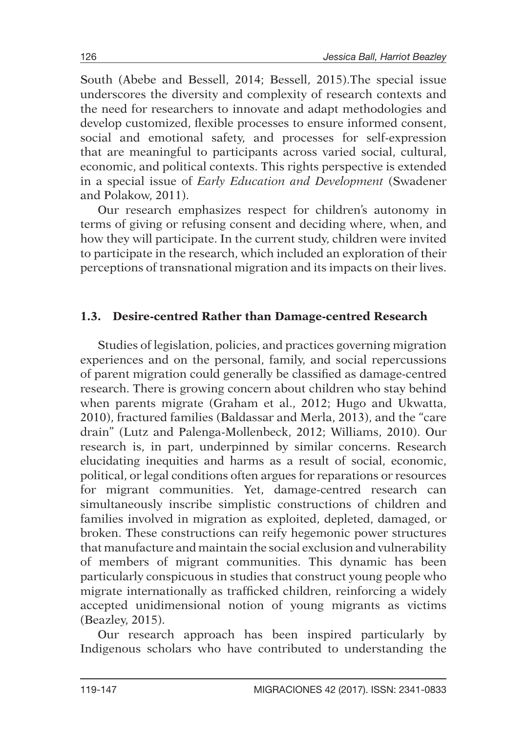South (Abebe and Bessell, 2014; Bessell, 2015).The special issue underscores the diversity and complexity of research contexts and the need for researchers to innovate and adapt methodologies and develop customized, flexible processes to ensure informed consent, social and emotional safety, and processes for self-expression that are meaningful to participants across varied social, cultural, economic, and political contexts. This rights perspective is extended in a special issue of *Early Education and Development* (Swadener and Polakow, 2011).

Our research emphasizes respect for children's autonomy in terms of giving or refusing consent and deciding where, when, and how they will participate. In the current study, children were invited to participate in the research, which included an exploration of their perceptions of transnational migration and its impacts on their lives.

## **1.3. Desire-centred Rather than Damage-centred Research**

Studies of legislation, policies, and practices governing migration experiences and on the personal, family, and social repercussions of parent migration could generally be classified as damage-centred research. There is growing concern about children who stay behind when parents migrate (Graham et al., 2012; Hugo and Ukwatta, 2010), fractured families (Baldassar and Merla, 2013), and the "care drain" (Lutz and Palenga-Mollenbeck, 2012; Williams, 2010). Our research is, in part, underpinned by similar concerns. Research elucidating inequities and harms as a result of social, economic, political, or legal conditions often argues for reparations or resources for migrant communities. Yet, damage-centred research can simultaneously inscribe simplistic constructions of children and families involved in migration as exploited, depleted, damaged, or broken. These constructions can reify hegemonic power structures that manufacture and maintain the social exclusion and vulnerability of members of migrant communities. This dynamic has been particularly conspicuous in studies that construct young people who migrate internationally as trafficked children, reinforcing a widely accepted unidimensional notion of young migrants as victims (Beazley, 2015).

Our research approach has been inspired particularly by Indigenous scholars who have contributed to understanding the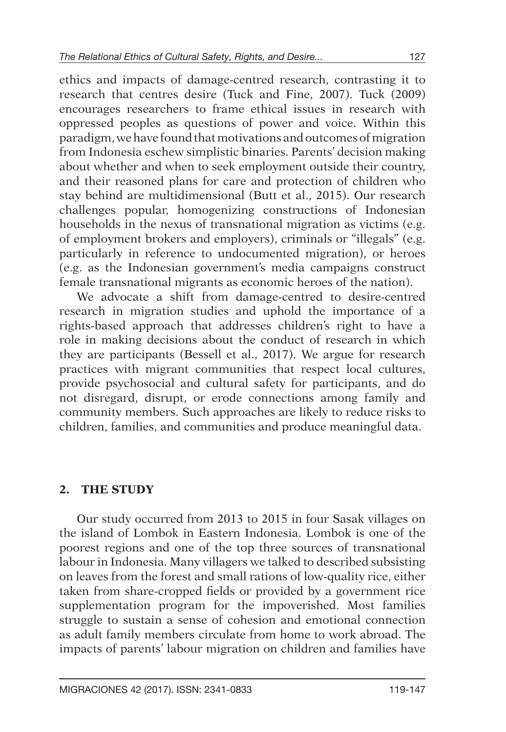ethics and impacts of damage-centred research, contrasting it to research that centres desire (Tuck and Fine, 2007). Tuck (2009) encourages researchers to frame ethical issues in research with oppressed peoples as questions of power and voice. Within this paradigm, we have found that motivations and outcomes of migration from Indonesia eschew simplistic binaries. Parents' decision making about whether and when to seek employment outside their country, and their reasoned plans for care and protection of children who stay behind are multidimensional (Butt et al., 2015). Our research challenges popular, homogenizing constructions of Indonesian households in the nexus of transnational migration as victims (e.g. of employment brokers and employers), criminals or "illegals" (e.g. particularly in reference to undocumented migration), or heroes (e.g. as the Indonesian government's media campaigns construct female transnational migrants as economic heroes of the nation).

We advocate a shift from damage-centred to desire-centred research in migration studies and uphold the importance of a rights-based approach that addresses children's right to have a role in making decisions about the conduct of research in which they are participants (Bessell et al., 2017). We argue for research practices with migrant communities that respect local cultures, provide psychosocial and cultural safety for participants, and do not disregard, disrupt, or erode connections among family and community members. Such approaches are likely to reduce risks to children, families, and communities and produce meaningful data.

## **2. The Study**

Our study occurred from 2013 to 2015 in four Sasak villages on the island of Lombok in Eastern Indonesia. Lombok is one of the poorest regions and one of the top three sources of transnational labour in Indonesia. Many villagers we talked to described subsisting on leaves from the forest and small rations of low-quality rice, either taken from share-cropped fields or provided by a government rice supplementation program for the impoverished. Most families struggle to sustain a sense of cohesion and emotional connection as adult family members circulate from home to work abroad. The impacts of parents' labour migration on children and families have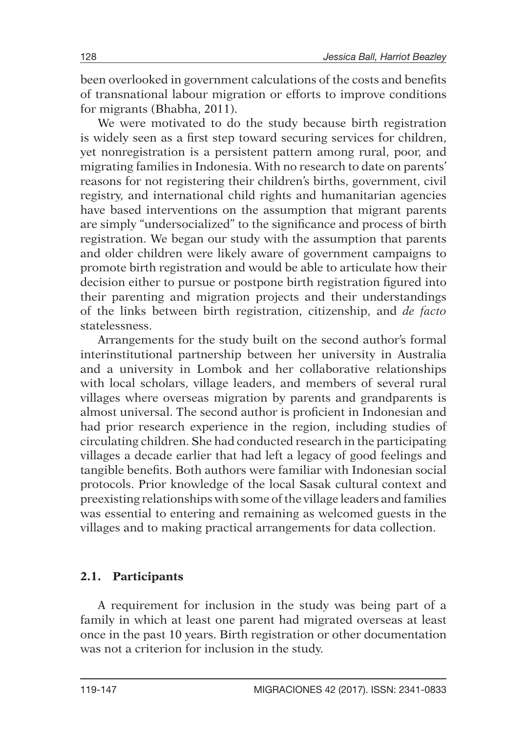been overlooked in government calculations of the costs and benefits of transnational labour migration or efforts to improve conditions for migrants (Bhabha, 2011).

We were motivated to do the study because birth registration is widely seen as a first step toward securing services for children, yet nonregistration is a persistent pattern among rural, poor, and migrating families in Indonesia. With no research to date on parents' reasons for not registering their children's births, government, civil registry, and international child rights and humanitarian agencies have based interventions on the assumption that migrant parents are simply "undersocialized" to the significance and process of birth registration. We began our study with the assumption that parents and older children were likely aware of government campaigns to promote birth registration and would be able to articulate how their decision either to pursue or postpone birth registration figured into their parenting and migration projects and their understandings of the links between birth registration, citizenship, and *de facto* statelessness.

Arrangements for the study built on the second author's formal interinstitutional partnership between her university in Australia and a university in Lombok and her collaborative relationships with local scholars, village leaders, and members of several rural villages where overseas migration by parents and grandparents is almost universal. The second author is proficient in Indonesian and had prior research experience in the region, including studies of circulating children. She had conducted research in the participating villages a decade earlier that had left a legacy of good feelings and tangible benefits. Both authors were familiar with Indonesian social protocols. Prior knowledge of the local Sasak cultural context and preexisting relationships with some of the village leaders and families was essential to entering and remaining as welcomed guests in the villages and to making practical arrangements for data collection.

### **2.1. Participants**

A requirement for inclusion in the study was being part of a family in which at least one parent had migrated overseas at least once in the past 10 years. Birth registration or other documentation was not a criterion for inclusion in the study.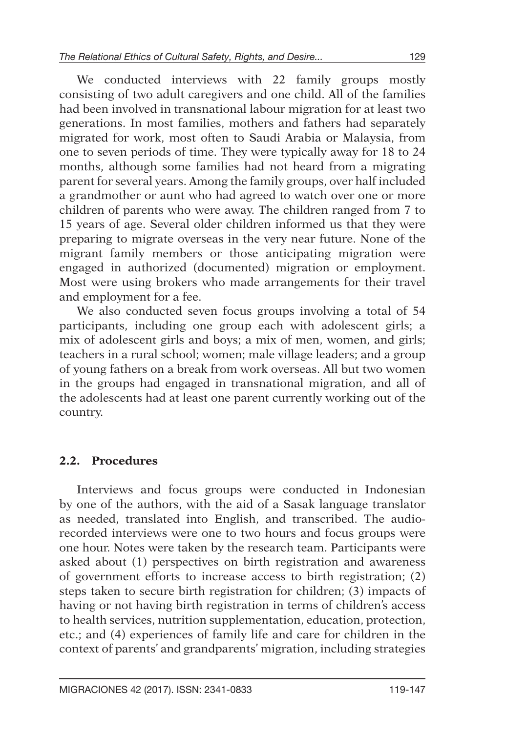We conducted interviews with 22 family groups mostly consisting of two adult caregivers and one child. All of the families had been involved in transnational labour migration for at least two generations. In most families, mothers and fathers had separately migrated for work, most often to Saudi Arabia or Malaysia, from one to seven periods of time. They were typically away for 18 to 24 months, although some families had not heard from a migrating parent for several years. Among the family groups, over half included a grandmother or aunt who had agreed to watch over one or more children of parents who were away. The children ranged from 7 to 15 years of age. Several older children informed us that they were preparing to migrate overseas in the very near future. None of the migrant family members or those anticipating migration were engaged in authorized (documented) migration or employment. Most were using brokers who made arrangements for their travel and employment for a fee.

We also conducted seven focus groups involving a total of 54 participants, including one group each with adolescent girls; a mix of adolescent girls and boys; a mix of men, women, and girls; teachers in a rural school; women; male village leaders; and a group of young fathers on a break from work overseas. All but two women in the groups had engaged in transnational migration, and all of the adolescents had at least one parent currently working out of the country.

## **2.2. Procedures**

Interviews and focus groups were conducted in Indonesian by one of the authors, with the aid of a Sasak language translator as needed, translated into English, and transcribed. The audiorecorded interviews were one to two hours and focus groups were one hour. Notes were taken by the research team. Participants were asked about (1) perspectives on birth registration and awareness of government efforts to increase access to birth registration; (2) steps taken to secure birth registration for children; (3) impacts of having or not having birth registration in terms of children's access to health services, nutrition supplementation, education, protection, etc.; and (4) experiences of family life and care for children in the context of parents' and grandparents' migration, including strategies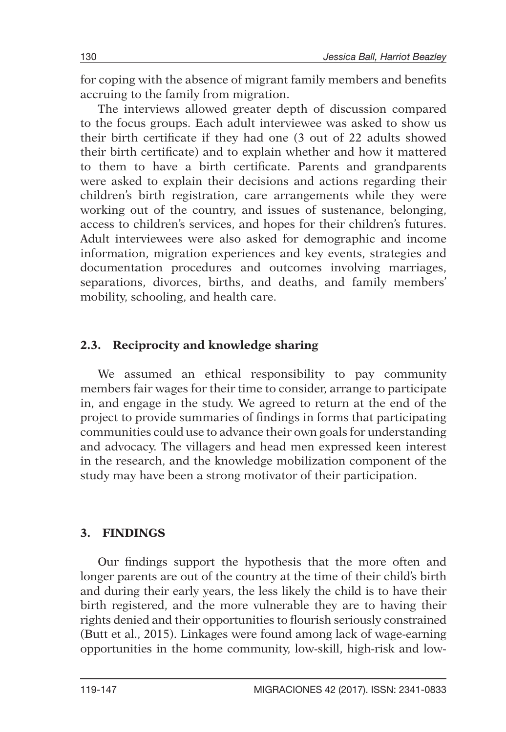for coping with the absence of migrant family members and benefits accruing to the family from migration.

The interviews allowed greater depth of discussion compared to the focus groups. Each adult interviewee was asked to show us their birth certificate if they had one (3 out of 22 adults showed their birth certificate) and to explain whether and how it mattered to them to have a birth certificate. Parents and grandparents were asked to explain their decisions and actions regarding their children's birth registration, care arrangements while they were working out of the country, and issues of sustenance, belonging, access to children's services, and hopes for their children's futures. Adult interviewees were also asked for demographic and income information, migration experiences and key events, strategies and documentation procedures and outcomes involving marriages, separations, divorces, births, and deaths, and family members' mobility, schooling, and health care.

## **2.3. Reciprocity and knowledge sharing**

We assumed an ethical responsibility to pay community members fair wages for their time to consider, arrange to participate in, and engage in the study. We agreed to return at the end of the project to provide summaries of findings in forms that participating communities could use to advance their own goals for understanding and advocacy. The villagers and head men expressed keen interest in the research, and the knowledge mobilization component of the study may have been a strong motivator of their participation.

## **3. Findings**

Our findings support the hypothesis that the more often and longer parents are out of the country at the time of their child's birth and during their early years, the less likely the child is to have their birth registered, and the more vulnerable they are to having their rights denied and their opportunities to flourish seriously constrained (Butt et al., 2015). Linkages were found among lack of wage-earning opportunities in the home community, low-skill, high-risk and low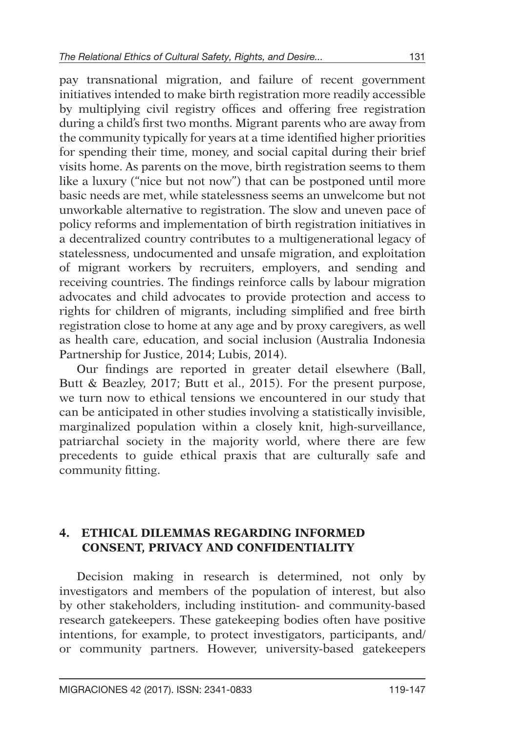pay transnational migration, and failure of recent government initiatives intended to make birth registration more readily accessible by multiplying civil registry offices and offering free registration during a child's first two months. Migrant parents who are away from the community typically for years at a time identified higher priorities for spending their time, money, and social capital during their brief visits home. As parents on the move, birth registration seems to them like a luxury ("nice but not now") that can be postponed until more basic needs are met, while statelessness seems an unwelcome but not unworkable alternative to registration. The slow and uneven pace of policy reforms and implementation of birth registration initiatives in a decentralized country contributes to a multigenerational legacy of statelessness, undocumented and unsafe migration, and exploitation of migrant workers by recruiters, employers, and sending and receiving countries. The findings reinforce calls by labour migration advocates and child advocates to provide protection and access to rights for children of migrants, including simplified and free birth registration close to home at any age and by proxy caregivers, as well as health care, education, and social inclusion (Australia Indonesia Partnership for Justice, 2014; Lubis, 2014).

Our findings are reported in greater detail elsewhere (Ball, Butt & Beazley, 2017; Butt et al., 2015). For the present purpose, we turn now to ethical tensions we encountered in our study that can be anticipated in other studies involving a statistically invisible, marginalized population within a closely knit, high-surveillance, patriarchal society in the majority world, where there are few precedents to guide ethical praxis that are culturally safe and community fitting.

#### **4. Ethical Dilemmas Regarding Informed Consent, Privacy and Confidentiality**

Decision making in research is determined, not only by investigators and members of the population of interest, but also by other stakeholders, including institution- and community-based research gatekeepers. These gatekeeping bodies often have positive intentions, for example, to protect investigators, participants, and/ or community partners. However, university-based gatekeepers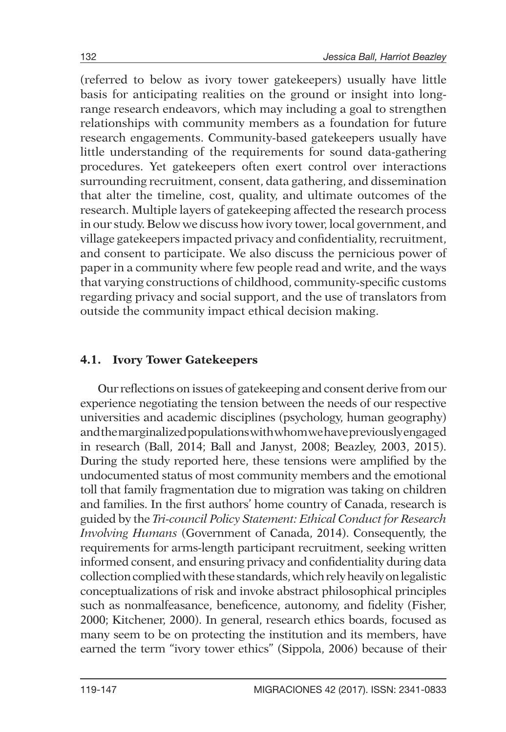(referred to below as ivory tower gatekeepers) usually have little basis for anticipating realities on the ground or insight into longrange research endeavors, which may including a goal to strengthen relationships with community members as a foundation for future research engagements. Community-based gatekeepers usually have little understanding of the requirements for sound data-gathering procedures. Yet gatekeepers often exert control over interactions surrounding recruitment, consent, data gathering, and dissemination that alter the timeline, cost, quality, and ultimate outcomes of the research. Multiple layers of gatekeeping affected the research process in our study. Below we discuss how ivory tower, local government, and village gatekeepers impacted privacy and confidentiality, recruitment, and consent to participate. We also discuss the pernicious power of paper in a community where few people read and write, and the ways that varying constructions of childhood, community-specific customs regarding privacy and social support, and the use of translators from outside the community impact ethical decision making.

### **4.1. Ivory Tower Gatekeepers**

Our reflections on issues of gatekeeping and consent derive from our experience negotiating the tension between the needs of our respective universities and academic disciplines (psychology, human geography) and the marginalized populations with whom we have previously engaged in research (Ball, 2014; Ball and Janyst, 2008; Beazley, 2003, 2015). During the study reported here, these tensions were amplified by the undocumented status of most community members and the emotional toll that family fragmentation due to migration was taking on children and families. In the first authors' home country of Canada, research is guided by the *Tri-council Policy Statement: Ethical Conduct for Research Involving Humans* (Government of Canada, 2014). Consequently, the requirements for arms-length participant recruitment, seeking written informed consent, and ensuring privacy and confidentiality during data collection complied with these standards, which rely heavily on legalistic conceptualizations of risk and invoke abstract philosophical principles such as nonmalfeasance, beneficence, autonomy, and fidelity (Fisher, 2000; Kitchener, 2000). In general, research ethics boards, focused as many seem to be on protecting the institution and its members, have earned the term "ivory tower ethics" (Sippola, 2006) because of their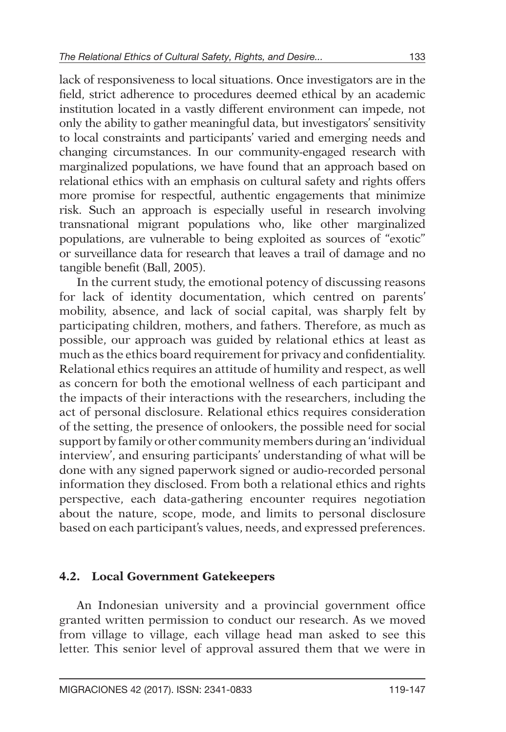lack of responsiveness to local situations. Once investigators are in the field, strict adherence to procedures deemed ethical by an academic institution located in a vastly different environment can impede, not only the ability to gather meaningful data, but investigators' sensitivity to local constraints and participants' varied and emerging needs and changing circumstances. In our community-engaged research with marginalized populations, we have found that an approach based on relational ethics with an emphasis on cultural safety and rights offers more promise for respectful, authentic engagements that minimize risk. Such an approach is especially useful in research involving transnational migrant populations who, like other marginalized populations, are vulnerable to being exploited as sources of "exotic" or surveillance data for research that leaves a trail of damage and no tangible benefit (Ball, 2005).

In the current study, the emotional potency of discussing reasons for lack of identity documentation, which centred on parents' mobility, absence, and lack of social capital, was sharply felt by participating children, mothers, and fathers. Therefore, as much as possible, our approach was guided by relational ethics at least as much as the ethics board requirement for privacy and confidentiality. Relational ethics requires an attitude of humility and respect, as well as concern for both the emotional wellness of each participant and the impacts of their interactions with the researchers, including the act of personal disclosure. Relational ethics requires consideration of the setting, the presence of onlookers, the possible need for social support by family or other community members during an 'individual interview', and ensuring participants' understanding of what will be done with any signed paperwork signed or audio-recorded personal information they disclosed. From both a relational ethics and rights perspective, each data-gathering encounter requires negotiation about the nature, scope, mode, and limits to personal disclosure based on each participant's values, needs, and expressed preferences.

### **4.2. Local Government Gatekeepers**

An Indonesian university and a provincial government office granted written permission to conduct our research. As we moved from village to village, each village head man asked to see this letter. This senior level of approval assured them that we were in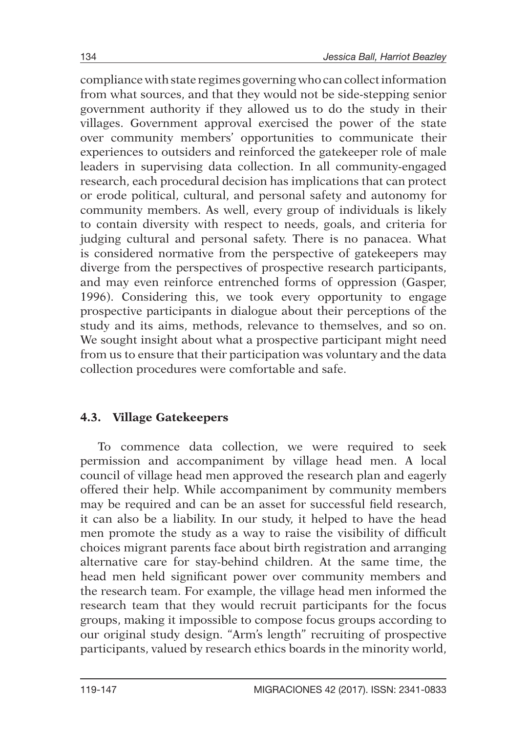compliance with state regimes governing who can collect information from what sources, and that they would not be side-stepping senior government authority if they allowed us to do the study in their villages. Government approval exercised the power of the state over community members' opportunities to communicate their experiences to outsiders and reinforced the gatekeeper role of male leaders in supervising data collection. In all community-engaged research, each procedural decision has implications that can protect or erode political, cultural, and personal safety and autonomy for community members. As well, every group of individuals is likely to contain diversity with respect to needs, goals, and criteria for judging cultural and personal safety. There is no panacea. What is considered normative from the perspective of gatekeepers may diverge from the perspectives of prospective research participants, and may even reinforce entrenched forms of oppression (Gasper, 1996). Considering this, we took every opportunity to engage prospective participants in dialogue about their perceptions of the study and its aims, methods, relevance to themselves, and so on. We sought insight about what a prospective participant might need from us to ensure that their participation was voluntary and the data collection procedures were comfortable and safe.

### **4.3. Village Gatekeepers**

To commence data collection, we were required to seek permission and accompaniment by village head men. A local council of village head men approved the research plan and eagerly offered their help. While accompaniment by community members may be required and can be an asset for successful field research, it can also be a liability. In our study, it helped to have the head men promote the study as a way to raise the visibility of difficult choices migrant parents face about birth registration and arranging alternative care for stay-behind children. At the same time, the head men held significant power over community members and the research team. For example, the village head men informed the research team that they would recruit participants for the focus groups, making it impossible to compose focus groups according to our original study design. "Arm's length" recruiting of prospective participants, valued by research ethics boards in the minority world,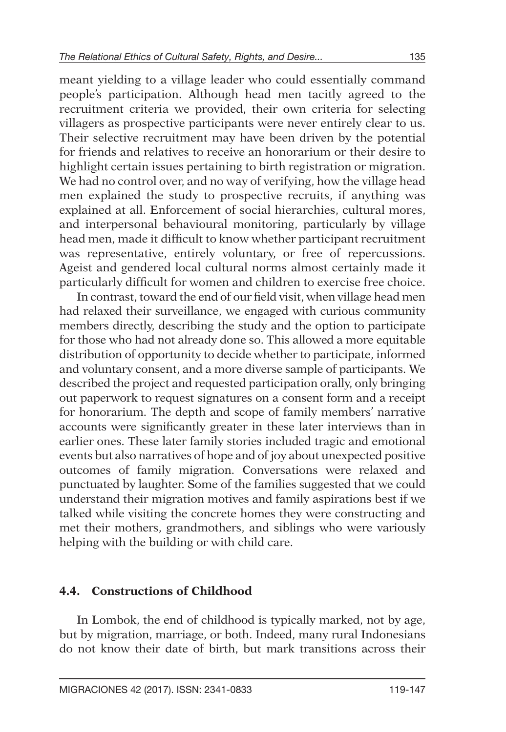meant yielding to a village leader who could essentially command people's participation. Although head men tacitly agreed to the recruitment criteria we provided, their own criteria for selecting villagers as prospective participants were never entirely clear to us. Their selective recruitment may have been driven by the potential for friends and relatives to receive an honorarium or their desire to highlight certain issues pertaining to birth registration or migration. We had no control over, and no way of verifying, how the village head men explained the study to prospective recruits, if anything was explained at all. Enforcement of social hierarchies, cultural mores, and interpersonal behavioural monitoring, particularly by village head men, made it difficult to know whether participant recruitment was representative, entirely voluntary, or free of repercussions. Ageist and gendered local cultural norms almost certainly made it particularly difficult for women and children to exercise free choice.

In contrast, toward the end of our field visit, when village head men had relaxed their surveillance, we engaged with curious community members directly, describing the study and the option to participate for those who had not already done so. This allowed a more equitable distribution of opportunity to decide whether to participate, informed and voluntary consent, and a more diverse sample of participants. We described the project and requested participation orally, only bringing out paperwork to request signatures on a consent form and a receipt for honorarium. The depth and scope of family members' narrative accounts were significantly greater in these later interviews than in earlier ones. These later family stories included tragic and emotional events but also narratives of hope and of joy about unexpected positive outcomes of family migration. Conversations were relaxed and punctuated by laughter. Some of the families suggested that we could understand their migration motives and family aspirations best if we talked while visiting the concrete homes they were constructing and met their mothers, grandmothers, and siblings who were variously helping with the building or with child care.

### **4.4. Constructions of Childhood**

In Lombok, the end of childhood is typically marked, not by age, but by migration, marriage, or both. Indeed, many rural Indonesians do not know their date of birth, but mark transitions across their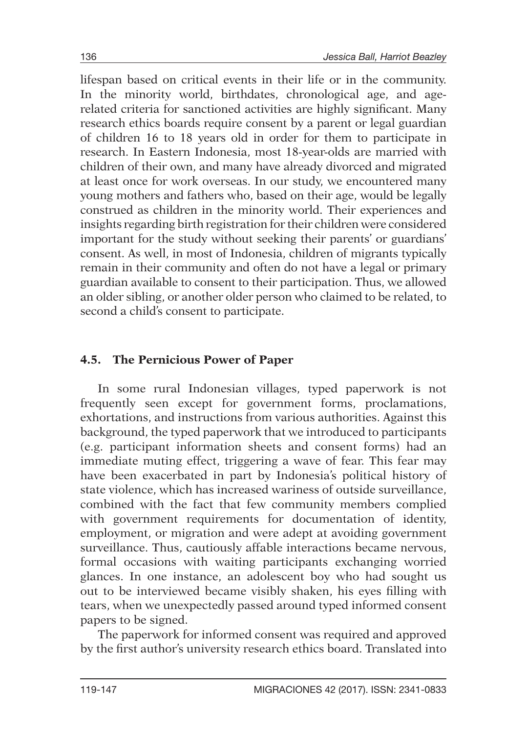lifespan based on critical events in their life or in the community. In the minority world, birthdates, chronological age, and agerelated criteria for sanctioned activities are highly significant. Many research ethics boards require consent by a parent or legal guardian of children 16 to 18 years old in order for them to participate in research. In Eastern Indonesia, most 18-year-olds are married with children of their own, and many have already divorced and migrated at least once for work overseas. In our study, we encountered many young mothers and fathers who, based on their age, would be legally construed as children in the minority world. Their experiences and insights regarding birth registration for their children were considered important for the study without seeking their parents' or guardians' consent. As well, in most of Indonesia, children of migrants typically remain in their community and often do not have a legal or primary guardian available to consent to their participation. Thus, we allowed an older sibling, or another older person who claimed to be related, to second a child's consent to participate.

## **4.5. The Pernicious Power of Paper**

In some rural Indonesian villages, typed paperwork is not frequently seen except for government forms, proclamations, exhortations, and instructions from various authorities. Against this background, the typed paperwork that we introduced to participants (e.g. participant information sheets and consent forms) had an immediate muting effect, triggering a wave of fear. This fear may have been exacerbated in part by Indonesia's political history of state violence, which has increased wariness of outside surveillance, combined with the fact that few community members complied with government requirements for documentation of identity, employment, or migration and were adept at avoiding government surveillance. Thus, cautiously affable interactions became nervous, formal occasions with waiting participants exchanging worried glances. In one instance, an adolescent boy who had sought us out to be interviewed became visibly shaken, his eyes filling with tears, when we unexpectedly passed around typed informed consent papers to be signed.

The paperwork for informed consent was required and approved by the first author's university research ethics board. Translated into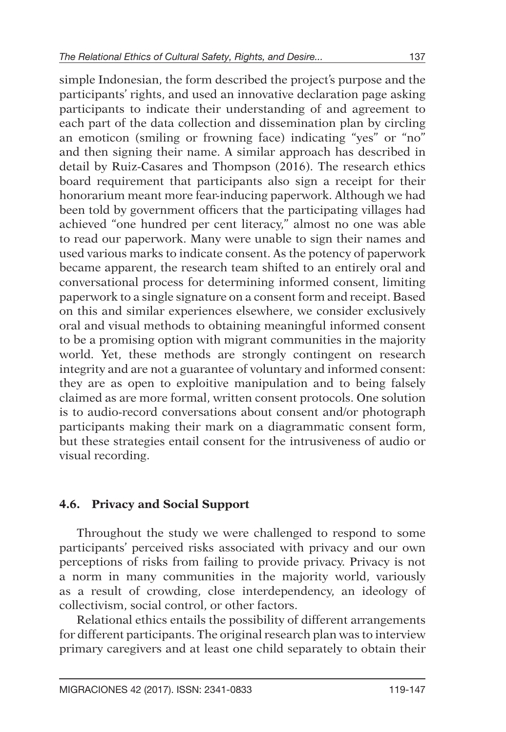simple Indonesian, the form described the project's purpose and the participants' rights, and used an innovative declaration page asking participants to indicate their understanding of and agreement to each part of the data collection and dissemination plan by circling an emoticon (smiling or frowning face) indicating "yes" or "no" and then signing their name. A similar approach has described in detail by Ruiz-Casares and Thompson (2016). The research ethics board requirement that participants also sign a receipt for their honorarium meant more fear-inducing paperwork. Although we had been told by government officers that the participating villages had achieved "one hundred per cent literacy," almost no one was able to read our paperwork. Many were unable to sign their names and used various marks to indicate consent. As the potency of paperwork became apparent, the research team shifted to an entirely oral and conversational process for determining informed consent, limiting paperwork to a single signature on a consent form and receipt. Based on this and similar experiences elsewhere, we consider exclusively oral and visual methods to obtaining meaningful informed consent to be a promising option with migrant communities in the majority world. Yet, these methods are strongly contingent on research integrity and are not a guarantee of voluntary and informed consent: they are as open to exploitive manipulation and to being falsely claimed as are more formal, written consent protocols. One solution is to audio-record conversations about consent and/or photograph participants making their mark on a diagrammatic consent form, but these strategies entail consent for the intrusiveness of audio or visual recording.

### **4.6. Privacy and Social Support**

Throughout the study we were challenged to respond to some participants' perceived risks associated with privacy and our own perceptions of risks from failing to provide privacy. Privacy is not a norm in many communities in the majority world, variously as a result of crowding, close interdependency, an ideology of collectivism, social control, or other factors.

Relational ethics entails the possibility of different arrangements for different participants. The original research plan was to interview primary caregivers and at least one child separately to obtain their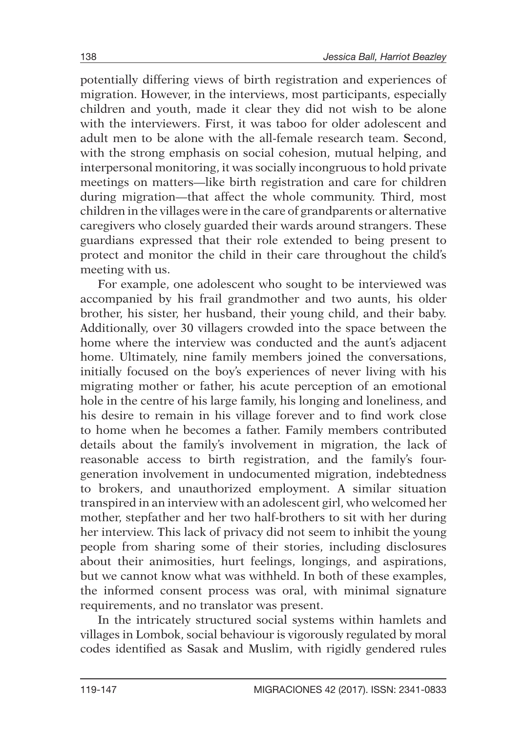potentially differing views of birth registration and experiences of migration. However, in the interviews, most participants, especially children and youth, made it clear they did not wish to be alone with the interviewers. First, it was taboo for older adolescent and adult men to be alone with the all-female research team. Second, with the strong emphasis on social cohesion, mutual helping, and interpersonal monitoring, it was socially incongruous to hold private meetings on matters—like birth registration and care for children during migration—that affect the whole community. Third, most children in the villages were in the care of grandparents or alternative caregivers who closely guarded their wards around strangers. These guardians expressed that their role extended to being present to protect and monitor the child in their care throughout the child's meeting with us.

For example, one adolescent who sought to be interviewed was accompanied by his frail grandmother and two aunts, his older brother, his sister, her husband, their young child, and their baby. Additionally, over 30 villagers crowded into the space between the home where the interview was conducted and the aunt's adjacent home. Ultimately, nine family members joined the conversations, initially focused on the boy's experiences of never living with his migrating mother or father, his acute perception of an emotional hole in the centre of his large family, his longing and loneliness, and his desire to remain in his village forever and to find work close to home when he becomes a father. Family members contributed details about the family's involvement in migration, the lack of reasonable access to birth registration, and the family's fourgeneration involvement in undocumented migration, indebtedness to brokers, and unauthorized employment. A similar situation transpired in an interview with an adolescent girl, who welcomed her mother, stepfather and her two half-brothers to sit with her during her interview. This lack of privacy did not seem to inhibit the young people from sharing some of their stories, including disclosures about their animosities, hurt feelings, longings, and aspirations, but we cannot know what was withheld. In both of these examples, the informed consent process was oral, with minimal signature requirements, and no translator was present.

In the intricately structured social systems within hamlets and villages in Lombok, social behaviour is vigorously regulated by moral codes identified as Sasak and Muslim, with rigidly gendered rules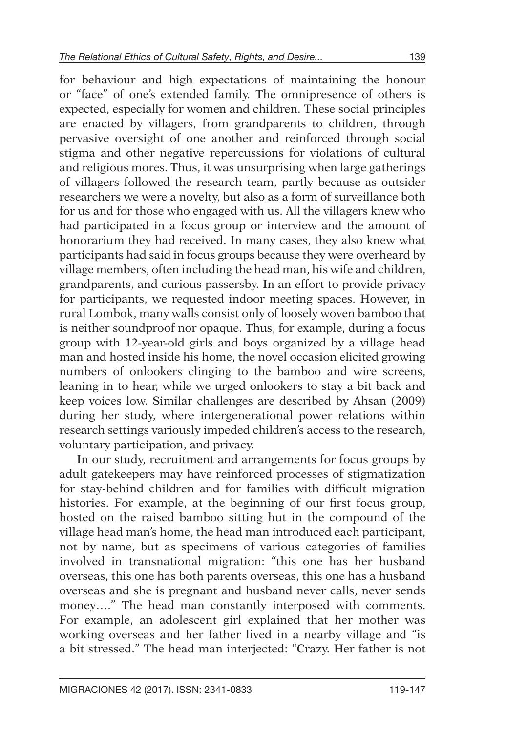for behaviour and high expectations of maintaining the honour or "face" of one's extended family. The omnipresence of others is expected, especially for women and children. These social principles are enacted by villagers, from grandparents to children, through pervasive oversight of one another and reinforced through social stigma and other negative repercussions for violations of cultural and religious mores. Thus, it was unsurprising when large gatherings of villagers followed the research team, partly because as outsider researchers we were a novelty, but also as a form of surveillance both for us and for those who engaged with us. All the villagers knew who had participated in a focus group or interview and the amount of honorarium they had received. In many cases, they also knew what participants had said in focus groups because they were overheard by village members, often including the head man, his wife and children, grandparents, and curious passersby. In an effort to provide privacy for participants, we requested indoor meeting spaces. However, in rural Lombok, many walls consist only of loosely woven bamboo that is neither soundproof nor opaque. Thus, for example, during a focus group with 12-year-old girls and boys organized by a village head man and hosted inside his home, the novel occasion elicited growing numbers of onlookers clinging to the bamboo and wire screens. leaning in to hear, while we urged onlookers to stay a bit back and keep voices low. Similar challenges are described by Ahsan (2009) during her study, where intergenerational power relations within research settings variously impeded children's access to the research, voluntary participation, and privacy.

In our study, recruitment and arrangements for focus groups by adult gatekeepers may have reinforced processes of stigmatization for stay-behind children and for families with difficult migration histories. For example, at the beginning of our first focus group, hosted on the raised bamboo sitting hut in the compound of the village head man's home, the head man introduced each participant, not by name, but as specimens of various categories of families involved in transnational migration: "this one has her husband overseas, this one has both parents overseas, this one has a husband overseas and she is pregnant and husband never calls, never sends money…." The head man constantly interposed with comments. For example, an adolescent girl explained that her mother was working overseas and her father lived in a nearby village and "is a bit stressed." The head man interjected: "Crazy. Her father is not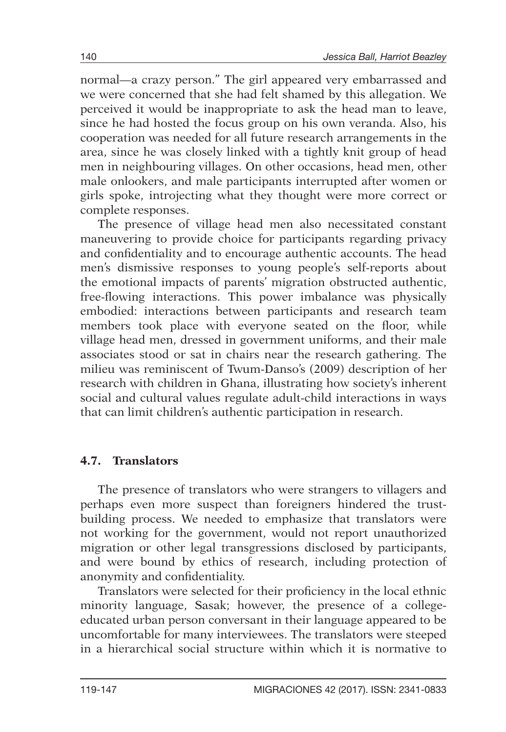normal—a crazy person." The girl appeared very embarrassed and we were concerned that she had felt shamed by this allegation. We perceived it would be inappropriate to ask the head man to leave, since he had hosted the focus group on his own veranda. Also, his cooperation was needed for all future research arrangements in the area, since he was closely linked with a tightly knit group of head men in neighbouring villages. On other occasions, head men, other male onlookers, and male participants interrupted after women or girls spoke, introjecting what they thought were more correct or complete responses.

The presence of village head men also necessitated constant maneuvering to provide choice for participants regarding privacy and confidentiality and to encourage authentic accounts. The head men's dismissive responses to young people's self-reports about the emotional impacts of parents' migration obstructed authentic, free-flowing interactions. This power imbalance was physically embodied: interactions between participants and research team members took place with everyone seated on the floor, while village head men, dressed in government uniforms, and their male associates stood or sat in chairs near the research gathering. The milieu was reminiscent of Twum-Danso's (2009) description of her research with children in Ghana, illustrating how society's inherent social and cultural values regulate adult-child interactions in ways that can limit children's authentic participation in research.

### **4.7. Translators**

The presence of translators who were strangers to villagers and perhaps even more suspect than foreigners hindered the trustbuilding process. We needed to emphasize that translators were not working for the government, would not report unauthorized migration or other legal transgressions disclosed by participants, and were bound by ethics of research, including protection of anonymity and confidentiality.

Translators were selected for their proficiency in the local ethnic minority language, Sasak; however, the presence of a collegeeducated urban person conversant in their language appeared to be uncomfortable for many interviewees. The translators were steeped in a hierarchical social structure within which it is normative to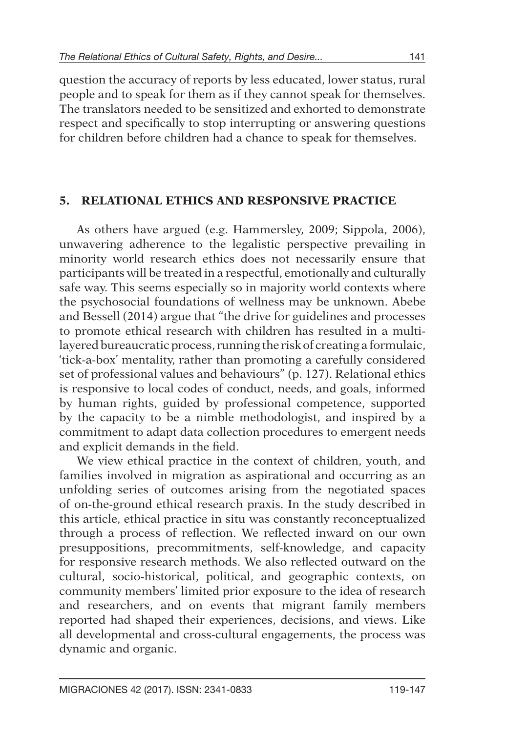question the accuracy of reports by less educated, lower status, rural people and to speak for them as if they cannot speak for themselves. The translators needed to be sensitized and exhorted to demonstrate respect and specifically to stop interrupting or answering questions for children before children had a chance to speak for themselves.

### **5. Relational Ethics and Responsive Practice**

As others have argued (e.g. Hammersley, 2009; Sippola, 2006), unwavering adherence to the legalistic perspective prevailing in minority world research ethics does not necessarily ensure that participants will be treated in a respectful, emotionally and culturally safe way. This seems especially so in majority world contexts where the psychosocial foundations of wellness may be unknown. Abebe and Bessell (2014) argue that "the drive for guidelines and processes to promote ethical research with children has resulted in a multilayered bureaucratic process, running the risk of creating a formulaic, 'tick-a-box' mentality, rather than promoting a carefully considered set of professional values and behaviours" (p. 127). Relational ethics is responsive to local codes of conduct, needs, and goals, informed by human rights, guided by professional competence, supported by the capacity to be a nimble methodologist, and inspired by a commitment to adapt data collection procedures to emergent needs and explicit demands in the field.

We view ethical practice in the context of children, youth, and families involved in migration as aspirational and occurring as an unfolding series of outcomes arising from the negotiated spaces of on-the-ground ethical research praxis. In the study described in this article, ethical practice in situ was constantly reconceptualized through a process of reflection. We reflected inward on our own presuppositions, precommitments, self-knowledge, and capacity for responsive research methods. We also reflected outward on the cultural, socio-historical, political, and geographic contexts, on community members' limited prior exposure to the idea of research and researchers, and on events that migrant family members reported had shaped their experiences, decisions, and views. Like all developmental and cross-cultural engagements, the process was dynamic and organic.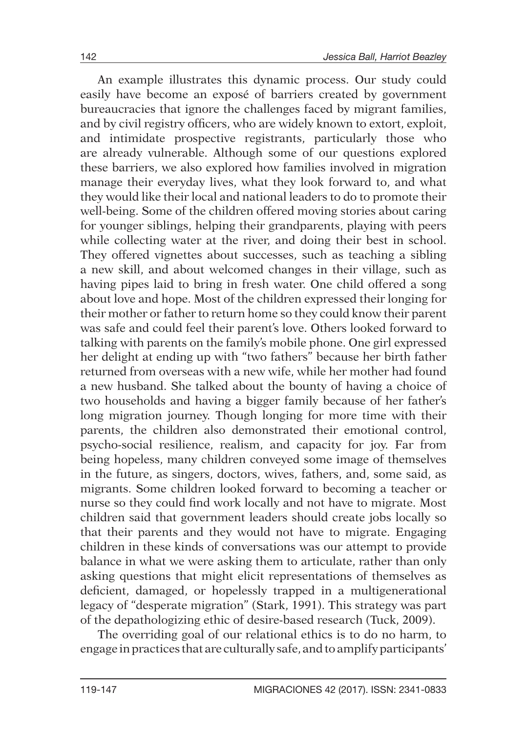An example illustrates this dynamic process. Our study could easily have become an exposé of barriers created by government bureaucracies that ignore the challenges faced by migrant families, and by civil registry officers, who are widely known to extort, exploit, and intimidate prospective registrants, particularly those who are already vulnerable. Although some of our questions explored these barriers, we also explored how families involved in migration manage their everyday lives, what they look forward to, and what they would like their local and national leaders to do to promote their well-being. Some of the children offered moving stories about caring for younger siblings, helping their grandparents, playing with peers while collecting water at the river, and doing their best in school. They offered vignettes about successes, such as teaching a sibling a new skill, and about welcomed changes in their village, such as having pipes laid to bring in fresh water. One child offered a song about love and hope. Most of the children expressed their longing for their mother or father to return home so they could know their parent was safe and could feel their parent's love. Others looked forward to talking with parents on the family's mobile phone. One girl expressed her delight at ending up with "two fathers" because her birth father returned from overseas with a new wife, while her mother had found a new husband. She talked about the bounty of having a choice of two households and having a bigger family because of her father's long migration journey. Though longing for more time with their parents, the children also demonstrated their emotional control, psycho-social resilience, realism, and capacity for joy. Far from being hopeless, many children conveyed some image of themselves in the future, as singers, doctors, wives, fathers, and, some said, as migrants. Some children looked forward to becoming a teacher or nurse so they could find work locally and not have to migrate. Most children said that government leaders should create jobs locally so that their parents and they would not have to migrate. Engaging children in these kinds of conversations was our attempt to provide balance in what we were asking them to articulate, rather than only asking questions that might elicit representations of themselves as deficient, damaged, or hopelessly trapped in a multigenerational legacy of "desperate migration" (Stark, 1991). This strategy was part of the depathologizing ethic of desire-based research (Tuck, 2009).

The overriding goal of our relational ethics is to do no harm, to engage in practices that are culturally safe, and to amplify participants'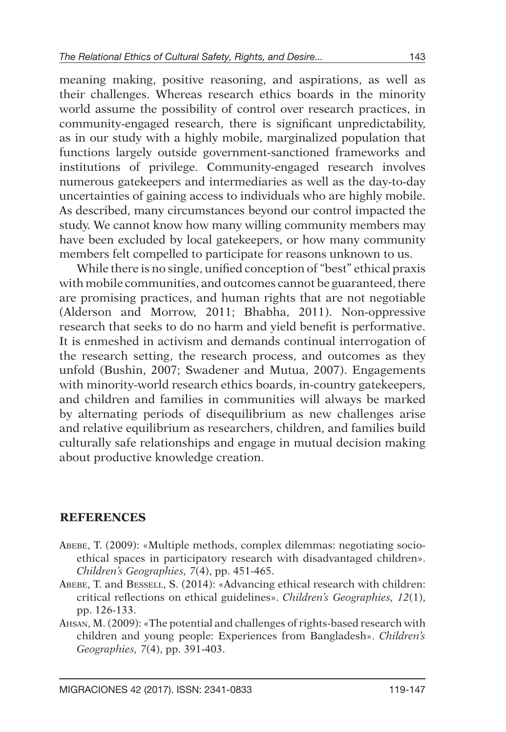meaning making, positive reasoning, and aspirations, as well as their challenges. Whereas research ethics boards in the minority world assume the possibility of control over research practices, in community-engaged research, there is significant unpredictability, as in our study with a highly mobile, marginalized population that functions largely outside government-sanctioned frameworks and institutions of privilege. Community-engaged research involves numerous gatekeepers and intermediaries as well as the day-to-day uncertainties of gaining access to individuals who are highly mobile. As described, many circumstances beyond our control impacted the study. We cannot know how many willing community members may have been excluded by local gatekeepers, or how many community members felt compelled to participate for reasons unknown to us.

While there is no single, unified conception of "best" ethical praxis with mobile communities, and outcomes cannot be guaranteed, there are promising practices, and human rights that are not negotiable (Alderson and Morrow, 2011; Bhabha, 2011). Non-oppressive research that seeks to do no harm and yield benefit is performative. It is enmeshed in activism and demands continual interrogation of the research setting, the research process, and outcomes as they unfold (Bushin, 2007; Swadener and Mutua, 2007). Engagements with minority-world research ethics boards, in-country gatekeepers, and children and families in communities will always be marked by alternating periods of disequilibrium as new challenges arise and relative equilibrium as researchers, children, and families build culturally safe relationships and engage in mutual decision making about productive knowledge creation.

#### **REFERENCES**

- Abebe, T. (2009): «Multiple methods, complex dilemmas: negotiating socioethical spaces in participatory research with disadvantaged children». *Children's Geographies, 7*(4), pp. 451-465.
- ABEBE, T. and BESSELL, S. (2014): «Advancing ethical research with children: critical reflections on ethical guidelines». *Children's Geographies, 12*(1), pp. 126-133.
- Ahsan, M. (2009): «The potential and challenges of rights-based research with children and young people: Experiences from Bangladesh». *Children's Geographies, 7*(4), pp. 391-403.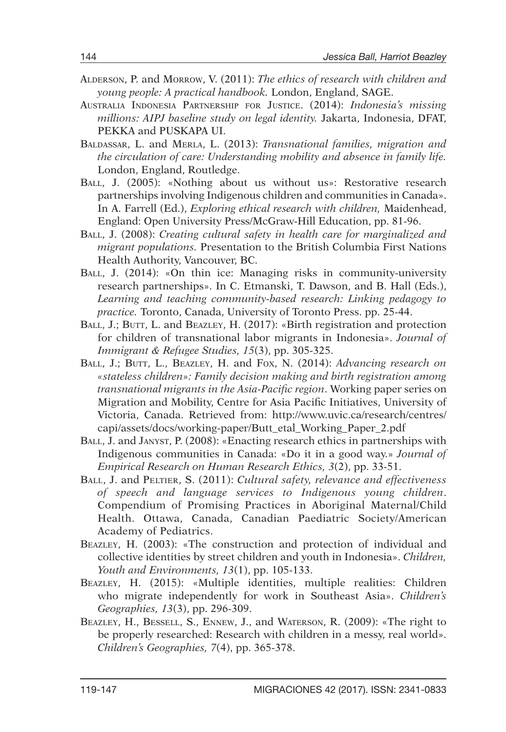- Alderson, P. and Morrow, V. (2011): *The ethics of research with children and young people: A practical handbook.* London, England, SAGE.
- Australia Indonesia Partnership for Justice. (2014): *Indonesia's missing millions: AIPJ baseline study on legal identity.* Jakarta, Indonesia, DFAT, PEKKA and PUSKAPA UI.
- Baldassar, L. and Merla, L. (2013): *Transnational families, migration and the circulation of care: Understanding mobility and absence in family life.*  London, England, Routledge.
- Ball, J. (2005): «Nothing about us without us»: Restorative research partnerships involving Indigenous children and communities in Canada». In A. Farrell (Ed.), *Exploring ethical research with children,* Maidenhead, England: Open University Press/McGraw-Hill Education, pp. 81-96.
- Ball, J. (2008): *Creating cultural safety in health care for marginalized and migrant populations.* Presentation to the British Columbia First Nations Health Authority, Vancouver, BC.
- BALL, J. (2014): «On thin ice: Managing risks in community-university research partnerships». In C. Etmanski, T. Dawson, and B. Hall (Eds.), *Learning and teaching community-based research: Linking pedagogy to practice.* Toronto, Canada, University of Toronto Press. pp. 25-44.
- BALL, J.; BUTT, L. and BEAZLEY, H. (2017): «Birth registration and protection for children of transnational labor migrants in Indonesia». *Journal of Immigrant & Refugee Studies, 15*(3), pp. 305-325.
- Ball, J.; Butt, L., Beazley, H. and Fox, N. (2014): *Advancing research on «stateless children»: Family decision making and birth registration among transnational migrants in the Asia-Pacific region*. Working paper series on Migration and Mobility, Centre for Asia Pacific Initiatives, University of Victoria, Canada. Retrieved from: http://www.uvic.ca/research/centres/ capi/assets/docs/working-paper/Butt\_etal\_Working\_Paper\_2.pdf
- Ball, J. and Janyst, P. (2008): «Enacting research ethics in partnerships with Indigenous communities in Canada: «Do it in a good way.» *Journal of Empirical Research on Human Research Ethics, 3*(2), pp. 33-51.
- Ball, J. and Peltier, S. (2011): *Cultural safety, relevance and effectiveness of speech and language services to Indigenous young children*. Compendium of Promising Practices in Aboriginal Maternal/Child Health. Ottawa, Canada, Canadian Paediatric Society/American Academy of Pediatrics.
- Beazley, H. (2003): «The construction and protection of individual and collective identities by street children and youth in Indonesia». *Children, Youth and Environments, 13*(1), pp. 105-133.
- Beazley, H. (2015): «Multiple identities, multiple realities: Children who migrate independently for work in Southeast Asia». *Children's Geographies, 13*(3), pp. 296-309.
- Beazley, H., Bessell, S., Ennew, J., and Waterson, R. (2009): «The right to be properly researched: Research with children in a messy, real world». *Children's Geographies, 7*(4), pp. 365-378.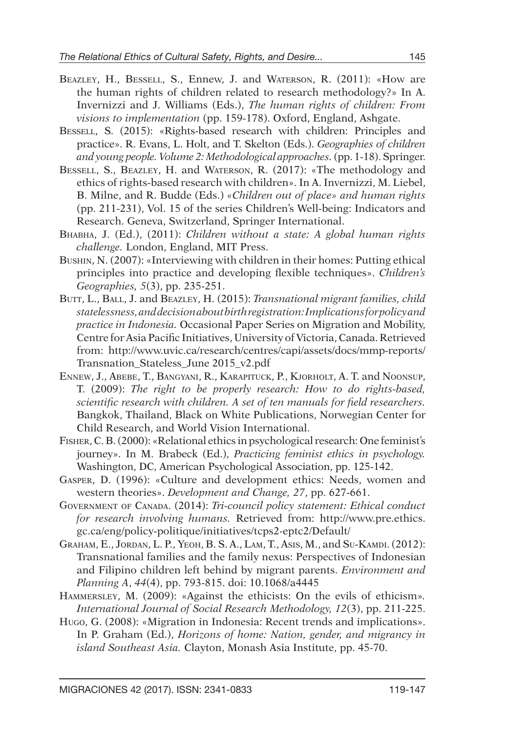- Beazley, H., Bessell, S., Ennew, J. and Waterson, R. (2011): «How are the human rights of children related to research methodology?» In A. Invernizzi and J. Williams (Eds.), *The human rights of children: From visions to implementation* (pp. 159-178). Oxford, England, Ashgate.
- BESSELL, S. (2015): «Rights-based research with children: Principles and practice». R. Evans, L. Holt, and T. Skelton (Eds.). *Geographies of children and young people. Volume 2: Methodological approaches.* (pp. 1-18). Springer.
- Bessell, S., Beazley, H. and Waterson, R. (2017): «The methodology and ethics of rights-based research with children». In A. Invernizzi, M. Liebel, B. Milne, and R. Budde (Eds.) *«Children out of place» and human rights* (pp. 211-231), Vol. 15 of the series Children's Well-being: Indicators and Research. Geneva, Switzerland, Springer International.
- Bhabha, J. (Ed.), (2011): *Children without a state: A global human rights challenge.* London, England, MIT Press.
- Bushin, N. (2007): «Interviewing with children in their homes: Putting ethical principles into practice and developing flexible techniques». *Children's Geographies, 5*(3), pp. 235-251.
- BUTT, L., BALL, J. and BEAZLEY, H. (2015): *Transnational migrant families, child statelessness, and decision about birth registration: Implications for policy and practice in Indonesia.* Occasional Paper Series on Migration and Mobility, Centre for Asia Pacific Initiatives, University of Victoria, Canada. Retrieved from: http://www.uvic.ca/research/centres/capi/assets/docs/mmp-reports/ Transnation\_Stateless\_June 2015\_v2.pdf
- Ennew, J., Abebe, T., Bangyani, R., Karapituck, P., Kjorholt, A. T. and Noonsup, T. (2009): *The right to be properly research: How to do rights-based, scientific research with children. A set of ten manuals for field researchers.* Bangkok, Thailand, Black on White Publications, Norwegian Center for Child Research, and World Vision International.
- Fisher, C. B. (2000): «Relational ethics in psychological research: One feminist's journey». In M. Brabeck (Ed.), *Practicing feminist ethics in psychology.* Washington, DC, American Psychological Association, pp. 125-142.
- Gasper, D. (1996): «Culture and development ethics: Needs, women and western theories». *Development and Change, 27*, pp. 627-661.
- Government of Canada. (2014): *Tri-council policy statement: Ethical conduct for research involving humans.* Retrieved from: http://www.pre.ethics. gc.ca/eng/policy-politique/initiatives/tcps2-eptc2/Default/
- Graham, E., Jordan, L. P., Yeoh, B. S. A., Lam, T., Asis, M., and Su-Kamdi. (2012): Transnational families and the family nexus: Perspectives of Indonesian and Filipino children left behind by migrant parents. *Environment and Planning A*, *44*(4), pp. 793-815. doi: 10.1068/a4445
- Hammersley, M. (2009): «Against the ethicists: On the evils of ethicism»*. International Journal of Social Research Methodology, 12*(3), pp. 211-225.
- Hugo, G. (2008): «Migration in Indonesia: Recent trends and implications». In P. Graham (Ed.), *Horizons of home: Nation, gender, and migrancy in island Southeast Asia.* Clayton, Monash Asia Institute, pp. 45-70.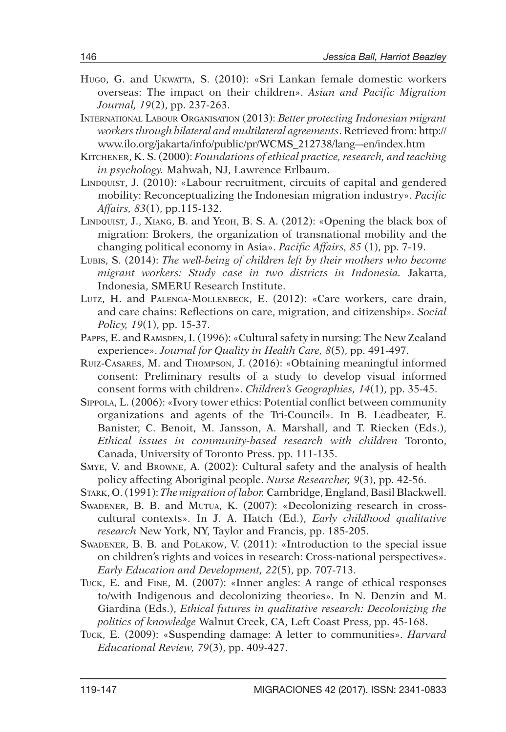- Hugo, G. and Ukwatta, S. (2010): «Sri Lankan female domestic workers overseas: The impact on their children». *Asian and Pacific Migration Journal, 19*(2), pp. 237-263.
- International Labour Organisation (2013): *Better protecting Indonesian migrant workers through bilateral and multilateral agreements*. Retrieved from: http:// www.ilo.org/jakarta/info/public/pr/WCMS\_212738/lang–-en/index.htm
- Kitchener, K. S. (2000): *Foundations of ethical practice, research, and teaching in psychology.* Mahwah, NJ, Lawrence Erlbaum.
- LINDQUIST, J. (2010): «Labour recruitment, circuits of capital and gendered mobility: Reconceptualizing the Indonesian migration industry». *Pacific Affairs, 83*(1), pp.115-132.
- LINDQUIST, J., XIANG, B. and YEOH, B. S. A. (2012): «Opening the black box of migration: Brokers, the organization of transnational mobility and the changing political economy in Asia». *Pacific Affairs, 85* (1), pp. 7-19.
- Lubis, S. (2014): *The well-being of children left by their mothers who become migrant workers: Study case in two districts in Indonesia.* Jakarta, Indonesia, SMERU Research Institute.
- Lutz, H. and Palenga-Mollenbeck, E. (2012): «Care workers, care drain, and care chains: Reflections on care, migration, and citizenship». *Social Policy, 19*(1), pp. 15-37.
- Papps, E. and Ramsden, I. (1996): «Cultural safety in nursing: The New Zealand experience». *Journal for Quality in Health Care, 8*(5), pp. 491-497.
- Ruiz-Casares, M. and Thompson, J. (2016): «Obtaining meaningful informed consent: Preliminary results of a study to develop visual informed consent forms with children». *Children's Geographies, 14*(1), pp. 35-45.
- Sippola, L. (2006): «Ivory tower ethics: Potential conflict between community organizations and agents of the Tri-Council». In B. Leadbeater, E. Banister, C. Benoit, M. Jansson, A. Marshall, and T. Riecken (Eds.), *Ethical issues in community-based research with children* Toronto, Canada, University of Toronto Press. pp. 111-135.
- Smye, V. and Browne, A. (2002): Cultural safety and the analysis of health policy affecting Aboriginal people. *Nurse Researcher, 9*(3), pp. 42-56.
- Stark, O. (1991): *The migration of labor.* Cambridge, England, Basil Blackwell.
- Swadener, B. B. and Mutua, K. (2007): «Decolonizing research in crosscultural contexts». In J. A. Hatch (Ed.), *Early childhood qualitative research* New York, NY, Taylor and Francis, pp. 185-205.
- Swadener, B. B. and Polakow, V. (2011): «Introduction to the special issue on children's rights and voices in research: Cross-national perspectives». *Early Education and Development, 22*(5), pp. 707-713.
- Tuck, E. and Fine, M. (2007): «Inner angles: A range of ethical responses to/with Indigenous and decolonizing theories». In N. Denzin and M. Giardina (Eds.), *Ethical futures in qualitative research: Decolonizing the politics of knowledge* Walnut Creek, CA, Left Coast Press, pp. 45-168.
- Tuck, E. (2009): «Suspending damage: A letter to communities». *Harvard Educational Review, 79*(3), pp. 409-427.